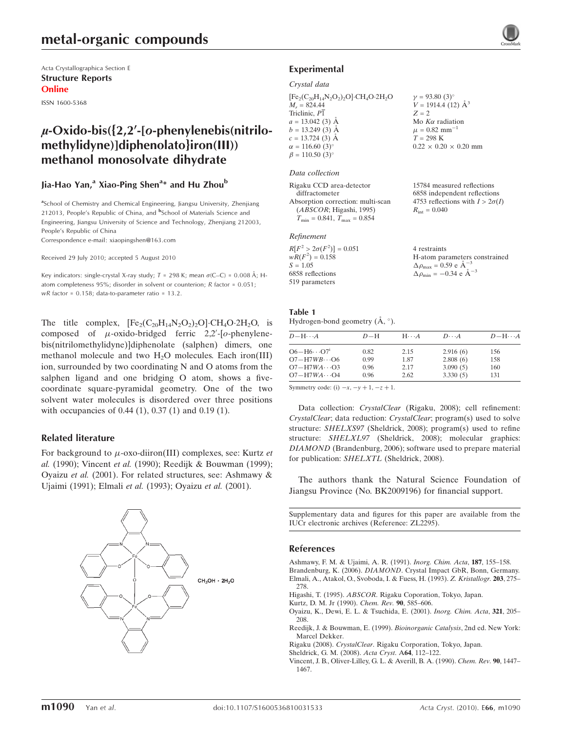# metal-organic compounds

Acta Crystallographica Section E Structure Reports Online

ISSN 1600-5368

# $\mu$ -Oxido-bis( $\{2,2\}$ -[o-phenylenebis(nitrilomethylidyne)]diphenolato}iron(III)) methanol monosolvate dihydrate

# Jia-Hao Yan,<sup>a</sup> Xiao-Ping Shen<sup>a</sup>\* and Hu Zhou<sup>b</sup>

<sup>a</sup>School of Chemistry and Chemical Engineering, Jiangsu University, Zhenjiang 212013, People's Republic of China, and <sup>b</sup>School of Materials Science and Engineering, Jiangsu University of Science and Technology, Zhenjiang 212003, People's Republic of China

Correspondence e-mail: xiaopingshen@163.com

Received 29 July 2010; accepted 5 August 2010

Key indicators: single-crystal X-ray study;  $T = 298$  K; mean  $\sigma$ (C–C) = 0.008 Å; Hatom completeness 95%; disorder in solvent or counterion; R factor = 0.051; wR factor = 0.158; data-to-parameter ratio = 13.2.

The title complex,  $[Fe_2(C_{20}H_{14}N_2O_2)_2O] \cdot CH_4O \cdot 2H_2O$ , is composed of  $\mu$ -oxido-bridged ferric 2,2'-[o-phenylenebis(nitrilomethylidyne)]diphenolate (salphen) dimers, one methanol molecule and two  $H_2O$  molecules. Each iron(III) ion, surrounded by two coordinating N and O atoms from the salphen ligand and one bridging O atom, shows a fivecoordinate square-pyramidal geometry. One of the two solvent water molecules is disordered over three positions with occupancies of 0.44 (1), 0.37 (1) and 0.19 (1).

### Related literature

For background to  $\mu$ -oxo-diiron(III) complexes, see: Kurtz *et* al. (1990); Vincent et al. (1990); Reedijk & Bouwman (1999); Oyaizu et al. (2001). For related structures, see: Ashmawy & Ujaimi (1991); Elmali et al. (1993); Oyaizu et al. (2001).



# Experimental

#### Crystal data

 $[Fe<sub>2</sub>(C<sub>20</sub>H<sub>14</sub>N<sub>2</sub>O<sub>2</sub>)<sub>2</sub>O]·CH<sub>4</sub>O·2H<sub>2</sub>O$  $M_r = 824.44$ Triclinic,  $P\overline{1}$  $a = 13.042(3)$  Å  $b = 13.249(3)$  Å  $c = 13.724(3)$  Å  $\alpha = 116.60$  (3)<sup>o</sup>  $\beta = 110.50$  (3)<sup>o</sup>

#### Data collection

| Rigaku CCD area-detector             |  |
|--------------------------------------|--|
| diffractometer                       |  |
| Absorption correction: multi-scan    |  |
| (ABSCOR; Higashi, 1995)              |  |
| $T_{\min} = 0.841, T_{\max} = 0.854$ |  |

### Refinement

 $V = 1914.4(12)$   $\AA^3$  $Z = 2$ Mo  $K\alpha$  radiation  $\mu = 0.82$  mm<sup>-1</sup>  $T = 298$  K  $0.22 \times 0.20 \times 0.20$  mm

 $v = 93.80$  (3)<sup>o</sup>

15784 measured reflections 6858 independent reflections 4753 reflections with  $I > 2\sigma(I)$  $R_{\text{int}} = 0.040$ 

| 4 restraints                                                  |
|---------------------------------------------------------------|
| H-atom parameters constrained                                 |
| $\Delta \rho_{\text{max}} = 0.59 \text{ e A}^{-3}$            |
| $\Delta \rho_{\text{min}} = -0.34 \text{ e } \text{\AA}^{-3}$ |

#### Table 1 Hydrogen-bond geometry  $(\mathring{A}, \degree)$ .

| $D - H \cdots A$                 | $D-H$ | $H\cdots A$ | $D\cdots A$ | $D - H \cdots A$ |
|----------------------------------|-------|-------------|-------------|------------------|
| $O6 - H6 \cdots O7$ <sup>1</sup> | 0.82  | 2.15        | 2.916(6)    | 156              |
| $O7 - H7WB \cdots O6$            | 0.99  | 1.87        | 2.808(6)    | 158              |
| $O7 - H7WA \cdots O3$            | 0.96  | 2.17        | 3.090(5)    | 160              |
| $O7 - H7WA \cdots O4$            | 0.96  | 2.62        | 3.330(5)    | 131              |

Symmetry code: (i)  $-x$ ,  $-y + 1$ ,  $-z + 1$ .

Data collection: CrystalClear (Rigaku, 2008); cell refinement: CrystalClear; data reduction: CrystalClear; program(s) used to solve structure: SHELXS97 (Sheldrick, 2008); program(s) used to refine structure: SHELXL97 (Sheldrick, 2008); molecular graphics: DIAMOND (Brandenburg, 2006); software used to prepare material for publication: SHELXTL (Sheldrick, 2008).

The authors thank the Natural Science Foundation of Jiangsu Province (No. BK2009196) for financial support.

Supplementary data and figures for this paper are available from the IUCr electronic archives (Reference: ZL2295).

#### References

[Ashmawy, F. M. & Ujaimi, A. R. \(1991\).](https://scripts.iucr.org/cgi-bin/cr.cgi?rm=pdfbb&cnor=zl2295&bbid=BB1) Inorg. Chim. Acta, 187, 155–158. Brandenburg, K. (2006). DIAMOND[. Crystal Impact GbR, Bonn, Germany.](https://scripts.iucr.org/cgi-bin/cr.cgi?rm=pdfbb&cnor=zl2295&bbid=BB2) [Elmali, A., Atakol, O., Svoboda, I. & Fuess, H. \(1993\).](https://scripts.iucr.org/cgi-bin/cr.cgi?rm=pdfbb&cnor=zl2295&bbid=BB3) Z. Kristallogr. 203, 275– [278.](https://scripts.iucr.org/cgi-bin/cr.cgi?rm=pdfbb&cnor=zl2295&bbid=BB3)

Higashi, T. (1995). ABSCOR[. Rigaku Coporation, Tokyo, Japan.](https://scripts.iucr.org/cgi-bin/cr.cgi?rm=pdfbb&cnor=zl2295&bbid=BB4)

[Kurtz, D. M. Jr \(1990\).](https://scripts.iucr.org/cgi-bin/cr.cgi?rm=pdfbb&cnor=zl2295&bbid=BB5) Chem. Rev. 90, 585–606.

[Oyaizu, K., Dewi, E. L. & Tsuchida, E. \(2001\).](https://scripts.iucr.org/cgi-bin/cr.cgi?rm=pdfbb&cnor=zl2295&bbid=BB6) Inorg. Chim. Acta, 321, 205– [208.](https://scripts.iucr.org/cgi-bin/cr.cgi?rm=pdfbb&cnor=zl2295&bbid=BB6)

[Reedijk, J. & Bouwman, E. \(1999\).](https://scripts.iucr.org/cgi-bin/cr.cgi?rm=pdfbb&cnor=zl2295&bbid=BB7) Bioinorganic Catalysis, 2nd ed. New York: [Marcel Dekker.](https://scripts.iucr.org/cgi-bin/cr.cgi?rm=pdfbb&cnor=zl2295&bbid=BB7)

Rigaku (2008). CrystalClear[. Rigaku Corporation, Tokyo, Japan.](https://scripts.iucr.org/cgi-bin/cr.cgi?rm=pdfbb&cnor=zl2295&bbid=BB8)

[Sheldrick, G. M. \(2008\).](https://scripts.iucr.org/cgi-bin/cr.cgi?rm=pdfbb&cnor=zl2295&bbid=BB10) Acta Cryst. A64, 112–122.

[Vincent, J. B., Oliver-Lilley, G. L. & Averill, B. A. \(1990\).](https://scripts.iucr.org/cgi-bin/cr.cgi?rm=pdfbb&cnor=zl2295&bbid=BB9) Chem. Rev. 90, 1447– [1467.](https://scripts.iucr.org/cgi-bin/cr.cgi?rm=pdfbb&cnor=zl2295&bbid=BB9)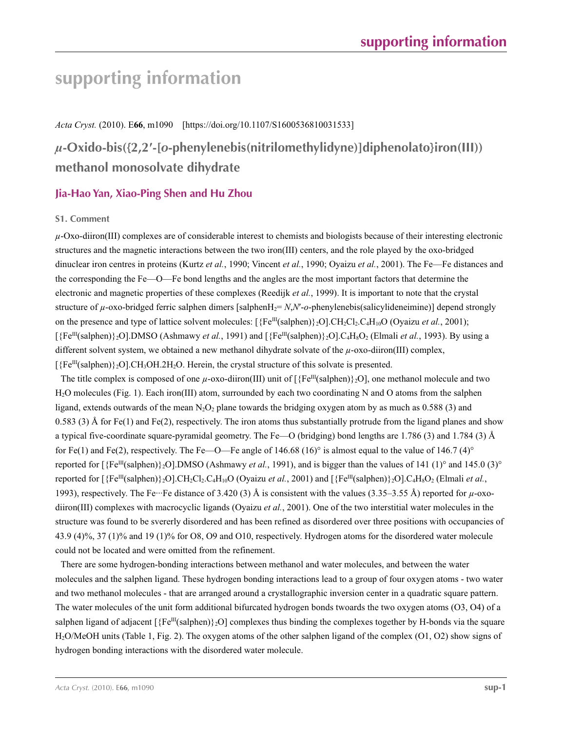# **supporting information**

## *Acta Cryst.* (2010). E**66**, m1090 [https://doi.org/10.1107/S1600536810031533]

# *µ***-Oxido-bis({2,2′-[***o***-phenylenebis(nitrilomethylidyne)]diphenolato}iron(III)) methanol monosolvate dihydrate**

# **Jia-Hao Yan, Xiao-Ping Shen and Hu Zhou**

## **S1. Comment**

 $\mu$ -Oxo-diiron(III) complexes are of considerable interest to chemists and biologists because of their interesting electronic structures and the magnetic interactions between the two iron(III) centers, and the role played by the oxo-bridged dinuclear iron centres in proteins (Kurtz *et al.*, 1990; Vincent *et al.*, 1990; Oyaizu *et al.*, 2001). The Fe—Fe distances and the corresponding the Fe—O—Fe bond lengths and the angles are the most important factors that determine the electronic and magnetic properties of these complexes (Reedijk *et al.*, 1999). It is important to note that the crystal structure of  $\mu$ -oxo-bridged ferric salphen dimers [salphenH<sub>2</sub>= *N*,*N'*-*o*-phenylenebis(salicylideneimine)] depend strongly on the presence and type of lattice solvent molecules:  $[\{Fe^{III}(salphen)\}\,2O]$ .CH<sub>2</sub>Cl<sub>2</sub>.C<sub>4</sub>H<sub>10</sub>O (Oyaizu *et al.*, 2001); [{Fe<sup>III</sup>(salphen)}<sub>2</sub>O].DMSO (Ashmawy *et al.*, 1991) and [{Fe<sup>III</sup>(salphen)}<sub>2</sub>O].C<sub>4</sub>H<sub>8</sub>O<sub>2</sub> (Elmali *et al.*, 1993). By using a different solvent system, we obtained a new methanol dihydrate solvate of the *µ*-oxo-diiron(III) complex,  $[$ {Fe<sup>III</sup>(salphen)}<sub>2</sub>O].CH<sub>3</sub>OH.2H<sub>2</sub>O. Herein, the crystal structure of this solvate is presented.

The title complex is composed of one  $\mu$ -oxo-diiron(III) unit of  $\frac{F}{E^{\text{III}}}(\text{salphen})\}$ <sub>2</sub>O, one methanol molecule and two H2O molecules (Fig. 1). Each iron(III) atom, surrounded by each two coordinating N and O atoms from the salphen ligand, extends outwards of the mean  $N_2O_2$  plane towards the bridging oxygen atom by as much as 0.588 (3) and 0.583 (3) Å for Fe(1) and Fe(2), respectively. The iron atoms thus substantially protrude from the ligand planes and show a typical five-coordinate square-pyramidal geometry. The Fe—O (bridging) bond lengths are 1.786 (3) and 1.784 (3) Å for Fe(1) and Fe(2), respectively. The Fe—O—Fe angle of 146.68 (16)° is almost equal to the value of 146.7 (4)° reported for  $[\{Fe^{III}(salphen)\}\,2O]$ .DMSO (Ashmawy *et al.*, 1991), and is bigger than the values of 141 (1)° and 145.0 (3)° reported for  $\frac{[{\text{Fe}}^{III}(\text{salphen})}{2}$ O].CH<sub>2</sub>Cl<sub>2</sub>.C<sub>4</sub>H<sub>10</sub>O (Oyaizu *et al.*, 2001) and  $\frac{[{\text{Fe}}^{III}(\text{salphen})}{2}$ O].C<sub>4</sub>H<sub>8</sub>O<sub>2</sub> (Elmali *et al.*, 1993), respectively. The Fe···Fe distance of 3.420 (3) Å is consistent with the values (3.35–3.55 Å) reported for  $\mu$ -oxodiiron(III) complexes with macrocyclic ligands (Oyaizu *et al.*, 2001). One of the two interstitial water molecules in the structure was found to be svererly disordered and has been refined as disordered over three positions with occupancies of 43.9 (4)%, 37 (1)% and 19 (1)% for O8, O9 and O10, respectively. Hydrogen atoms for the disordered water molecule could not be located and were omitted from the refinement.

There are some hydrogen-bonding interactions between methanol and water molecules, and between the water molecules and the salphen ligand. These hydrogen bonding interactions lead to a group of four oxygen atoms - two water and two methanol molecules - that are arranged around a crystallographic inversion center in a quadratic square pattern. The water molecules of the unit form additional bifurcated hydrogen bonds twoards the two oxygen atoms (O3, O4) of a salphen ligand of adjacent  $[\{Fe^{III}(salphen)\}$ 2O] complexes thus binding the complexes together by H-bonds via the square H2O/MeOH units (Table 1, Fig. 2). The oxygen atoms of the other salphen ligand of the complex (O1, O2) show signs of hydrogen bonding interactions with the disordered water molecule.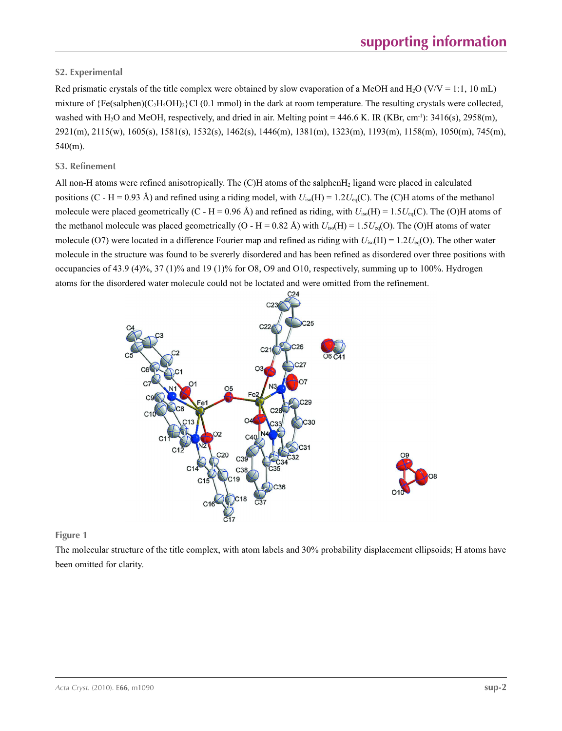# **S2. Experimental**

Red prismatic crystals of the title complex were obtained by slow evaporation of a MeOH and H<sub>2</sub>O (V/V = 1:1, 10 mL) mixture of  ${Fe}$ (salphen)(C<sub>2</sub>H<sub>5</sub>OH)<sub>2</sub>}Cl (0.1 mmol) in the dark at room temperature. The resulting crystals were collected, washed with H<sub>2</sub>O and MeOH, respectively, and dried in air. Melting point = 446.6 K. IR (KBr, cm<sup>-1</sup>): 3416(s), 2958(m), 2921(m), 2115(w), 1605(s), 1581(s), 1532(s), 1462(s), 1446(m), 1381(m), 1323(m), 1193(m), 1158(m), 1050(m), 745(m), 540(m).

# **S3. Refinement**

All non-H atoms were refined anisotropically. The (C)H atoms of the salphenH2 ligand were placed in calculated positions (C - H = 0.93 Å) and refined using a riding model, with  $U_{iso}(H) = 1.2U_{eq}(C)$ . The (C)H atoms of the methanol molecule were placed geometrically (C - H = 0.96 Å) and refined as riding, with  $U_{iso}(H) = 1.5U_{eq}(C)$ . The (O)H atoms of the methanol molecule was placed geometrically (O - H = 0.82 Å) with  $U_{iso}(H) = 1.5U_{eq}(O)$ . The (O)H atoms of water molecule (O7) were located in a difference Fourier map and refined as riding with  $U_{iso}(H) = 1.2U_{eq}(O)$ . The other water molecule in the structure was found to be svererly disordered and has been refined as disordered over three positions with occupancies of 43.9 (4)%, 37 (1)% and 19 (1)% for O8, O9 and O10, respectively, summing up to 100%. Hydrogen atoms for the disordered water molecule could not be loctated and were omitted from the refinement.



# **Figure 1**

The molecular structure of the title complex, with atom labels and 30% probability displacement ellipsoids; H atoms have been omitted for clarity.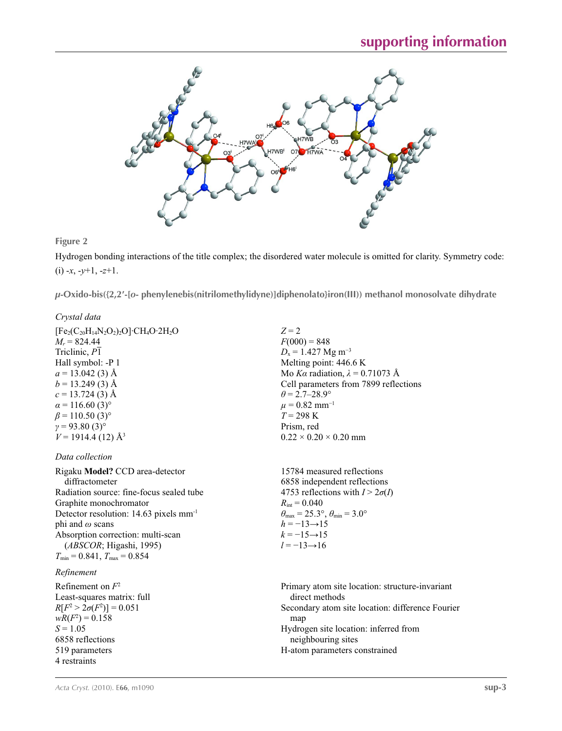

## **Figure 2**

Hydrogen bonding interactions of the title complex; the disordered water molecule is omitted for clarity. Symmetry code: (i) -*x*, -*y*+1, -*z*+1.

*µ***-Oxido-bis({2,2′-[***o***- phenylenebis(nitrilomethylidyne)]diphenolato}iron(III)) methanol monosolvate dihydrate** 

# *Crystal data*

 $[Fe<sub>2</sub>(C<sub>20</sub>H<sub>14</sub>N<sub>2</sub>O<sub>2</sub>)<sub>2</sub>O]·CH<sub>4</sub>O·2H<sub>2</sub>O$  $M_r = 824.44$ Triclinic, *P*1 Hall symbol: -P 1  $a = 13.042$  (3) Å  $b = 13.249(3)$  Å  $c = 13.724(3)$  Å  $\alpha$  = 116.60 (3)<sup>o</sup>  $\beta$  = 110.50 (3)<sup>o</sup>  $γ = 93.80(3)°$  $V = 1914.4$  (12) Å<sup>3</sup>

*Data collection*

Rigaku **Model?** CCD area-detector diffractometer Radiation source: fine-focus sealed tube Graphite monochromator Detector resolution: 14.63 pixels mm-1 phi and *ω* scans Absorption correction: multi-scan (*ABSCOR*; Higashi, 1995)  $T_{\text{min}} = 0.841$ ,  $T_{\text{max}} = 0.854$ 

### *Refinement*

Refinement on *F*<sup>2</sup> Least-squares matrix: full *R*[ $F^2 > 2\sigma(F^2)$ ] = 0.051  $wR(F^2) = 0.158$  $S = 1.05$ 6858 reflections 519 parameters 4 restraints

*Z* = 2  $F(000) = 848$  $D_x = 1.427$  Mg m<sup>-3</sup> Melting point: 446.6 K Mo *Kα* radiation,  $\lambda = 0.71073$  Å Cell parameters from 7899 reflections  $\theta$  = 2.7–28.9°  $\mu$  = 0.82 mm<sup>-1</sup>  $T = 298 \text{ K}$ Prism, red  $0.22 \times 0.20 \times 0.20$  mm

15784 measured reflections 6858 independent reflections 4753 reflections with  $I > 2\sigma(I)$  $R_{\text{int}} = 0.040$  $\theta_{\text{max}} = 25.3^{\circ}, \theta_{\text{min}} = 3.0^{\circ}$  $h = -13 \rightarrow 15$  $k = -15 \rightarrow 15$ *l* = −13→16

Primary atom site location: structure-invariant direct methods Secondary atom site location: difference Fourier map Hydrogen site location: inferred from neighbouring sites H-atom parameters constrained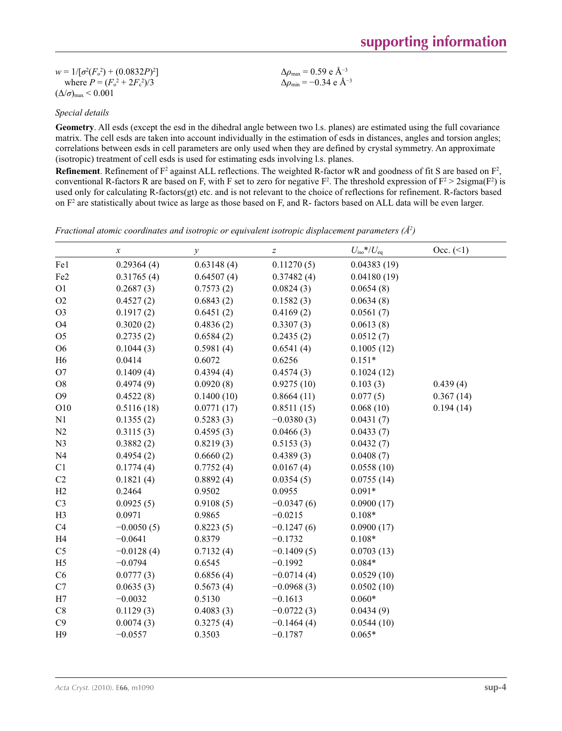| $w = 1/[\sigma^2(F_0^2) + (0.0832P)^2]$ | $\Delta\rho_{\rm max}$ = 0.59 e Å <sup>-3</sup> |
|-----------------------------------------|-------------------------------------------------|
| where $P = (F_o^2 + 2F_c^2)/3$          | $\Delta\rho_{\rm min} = -0.34 \text{ e A}^{-3}$ |
| $(\Delta/\sigma)_{\text{max}}$ < 0.001  |                                                 |

## *Special details*

**Geometry**. All esds (except the esd in the dihedral angle between two l.s. planes) are estimated using the full covariance matrix. The cell esds are taken into account individually in the estimation of esds in distances, angles and torsion angles; correlations between esds in cell parameters are only used when they are defined by crystal symmetry. An approximate (isotropic) treatment of cell esds is used for estimating esds involving l.s. planes.

 $Å<sup>-3</sup>$ 

**Refinement**. Refinement of  $F^2$  against ALL reflections. The weighted R-factor wR and goodness of fit S are based on  $F^2$ , conventional R-factors R are based on F, with F set to zero for negative  $F^2$ . The threshold expression of  $F^2 > 2 \text{sigma}(F^2)$  is used only for calculating R-factors(gt) etc. and is not relevant to the choice of reflections for refinement. R-factors based on  $F<sup>2</sup>$  are statistically about twice as large as those based on F, and R- factors based on ALL data will be even larger.

*Fractional atomic coordinates and isotropic or equivalent isotropic displacement parameters (Å<sup>2</sup>)* 

|                 | $\boldsymbol{x}$ | $\mathcal{Y}$ | $\boldsymbol{Z}$ | $U_{\rm iso}*/U_{\rm eq}$ | Occ. (2)  |
|-----------------|------------------|---------------|------------------|---------------------------|-----------|
| Fe1             | 0.29364(4)       | 0.63148(4)    | 0.11270(5)       | 0.04383(19)               |           |
| Fe <sub>2</sub> | 0.31765(4)       | 0.64507(4)    | 0.37482(4)       | 0.04180(19)               |           |
| O <sub>1</sub>  | 0.2687(3)        | 0.7573(2)     | 0.0824(3)        | 0.0654(8)                 |           |
| O2              | 0.4527(2)        | 0.6843(2)     | 0.1582(3)        | 0.0634(8)                 |           |
| O <sub>3</sub>  | 0.1917(2)        | 0.6451(2)     | 0.4169(2)        | 0.0561(7)                 |           |
| O4              | 0.3020(2)        | 0.4836(2)     | 0.3307(3)        | 0.0613(8)                 |           |
| O <sub>5</sub>  | 0.2735(2)        | 0.6584(2)     | 0.2435(2)        | 0.0512(7)                 |           |
| O <sub>6</sub>  | 0.1044(3)        | 0.5981(4)     | 0.6541(4)        | 0.1005(12)                |           |
| H <sub>6</sub>  | 0.0414           | 0.6072        | 0.6256           | $0.151*$                  |           |
| O <sub>7</sub>  | 0.1409(4)        | 0.4394(4)     | 0.4574(3)        | 0.1024(12)                |           |
| O <sub>8</sub>  | 0.4974(9)        | 0.0920(8)     | 0.9275(10)       | 0.103(3)                  | 0.439(4)  |
| O <sub>9</sub>  | 0.4522(8)        | 0.1400(10)    | 0.8664(11)       | 0.077(5)                  | 0.367(14) |
| O10             | 0.5116(18)       | 0.0771(17)    | 0.8511(15)       | 0.068(10)                 | 0.194(14) |
| N1              | 0.1355(2)        | 0.5283(3)     | $-0.0380(3)$     | 0.0431(7)                 |           |
| N2              | 0.3115(3)        | 0.4595(3)     | 0.0466(3)        | 0.0433(7)                 |           |
| N <sub>3</sub>  | 0.3882(2)        | 0.8219(3)     | 0.5153(3)        | 0.0432(7)                 |           |
| N <sub>4</sub>  | 0.4954(2)        | 0.6660(2)     | 0.4389(3)        | 0.0408(7)                 |           |
| C1              | 0.1774(4)        | 0.7752(4)     | 0.0167(4)        | 0.0558(10)                |           |
| C2              | 0.1821(4)        | 0.8892(4)     | 0.0354(5)        | 0.0755(14)                |           |
| H2              | 0.2464           | 0.9502        | 0.0955           | $0.091*$                  |           |
| C <sub>3</sub>  | 0.0925(5)        | 0.9108(5)     | $-0.0347(6)$     | 0.0900(17)                |           |
| H <sub>3</sub>  | 0.0971           | 0.9865        | $-0.0215$        | $0.108*$                  |           |
| C4              | $-0.0050(5)$     | 0.8223(5)     | $-0.1247(6)$     | 0.0900(17)                |           |
| H4              | $-0.0641$        | 0.8379        | $-0.1732$        | $0.108*$                  |           |
| C <sub>5</sub>  | $-0.0128(4)$     | 0.7132(4)     | $-0.1409(5)$     | 0.0703(13)                |           |
| H <sub>5</sub>  | $-0.0794$        | 0.6545        | $-0.1992$        | $0.084*$                  |           |
| C6              | 0.0777(3)        | 0.6856(4)     | $-0.0714(4)$     | 0.0529(10)                |           |
| C7              | 0.0635(3)        | 0.5673(4)     | $-0.0968(3)$     | 0.0502(10)                |           |
| H7              | $-0.0032$        | 0.5130        | $-0.1613$        | $0.060*$                  |           |
| C8              | 0.1129(3)        | 0.4083(3)     | $-0.0722(3)$     | 0.0434(9)                 |           |
| C9              | 0.0074(3)        | 0.3275(4)     | $-0.1464(4)$     | 0.0544(10)                |           |
| H9              | $-0.0557$        | 0.3503        | $-0.1787$        | $0.065*$                  |           |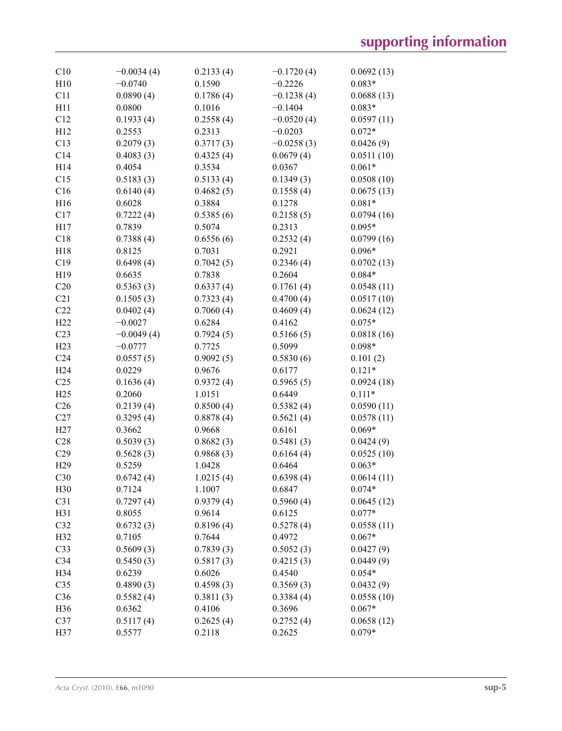| C10             | $-0.0034(4)$ | 0.2133(4) | $-0.1720(4)$ | 0.0692(13) |
|-----------------|--------------|-----------|--------------|------------|
| H10             | $-0.0740$    | 0.1590    | $-0.2226$    | $0.083*$   |
| C11             | 0.0890(4)    | 0.1786(4) | $-0.1238(4)$ | 0.0688(13) |
| H11             | 0.0800       | 0.1016    | $-0.1404$    | $0.083*$   |
| C12             | 0.1933(4)    | 0.2558(4) | $-0.0520(4)$ | 0.0597(11) |
| H12             | 0.2553       | 0.2313    | $-0.0203$    | $0.072*$   |
| C13             | 0.2079(3)    | 0.3717(3) | $-0.0258(3)$ | 0.0426(9)  |
| C14             | 0.4083(3)    | 0.4325(4) | 0.0679(4)    | 0.0511(10) |
| H14             | 0.4054       | 0.3534    | 0.0367       | $0.061*$   |
| C15             | 0.5183(3)    | 0.5133(4) | 0.1349(3)    | 0.0508(10) |
| C16             | 0.6140(4)    | 0.4682(5) | 0.1558(4)    | 0.0675(13) |
| H16             | 0.6028       | 0.3884    | 0.1278       | $0.081*$   |
| C17             | 0.7222(4)    | 0.5385(6) | 0.2158(5)    | 0.0794(16) |
| H17             | 0.7839       | 0.5074    | 0.2313       | $0.095*$   |
| C18             | 0.7388(4)    | 0.6556(6) | 0.2532(4)    | 0.0799(16) |
| H18             | 0.8125       | 0.7031    | 0.2921       | $0.096*$   |
| C19             | 0.6498(4)    | 0.7042(5) | 0.2346(4)    | 0.0702(13) |
| H19             | 0.6635       | 0.7838    | 0.2604       | $0.084*$   |
| C20             | 0.5363(3)    | 0.6337(4) | 0.1761(4)    | 0.0548(11) |
| C21             | 0.1505(3)    | 0.7323(4) | 0.4700(4)    | 0.0517(10) |
| C22             | 0.0402(4)    | 0.7060(4) | 0.4609(4)    | 0.0624(12) |
|                 |              |           |              |            |
| H22             | $-0.0027$    | 0.6284    | 0.4162       | $0.075*$   |
| C <sub>23</sub> | $-0.0049(4)$ | 0.7924(5) | 0.5166(5)    | 0.0818(16) |
| H23             | $-0.0777$    | 0.7725    | 0.5099       | $0.098*$   |
| C <sub>24</sub> | 0.0557(5)    | 0.9092(5) | 0.5830(6)    | 0.101(2)   |
| H <sub>24</sub> | 0.0229       | 0.9676    | 0.6177       | $0.121*$   |
| C <sub>25</sub> | 0.1636(4)    | 0.9372(4) | 0.5965(5)    | 0.0924(18) |
| H25             | 0.2060       | 1.0151    | 0.6449       | $0.111*$   |
| C <sub>26</sub> | 0.2139(4)    | 0.8500(4) | 0.5382(4)    | 0.0590(11) |
| C27             | 0.3295(4)    | 0.8878(4) | 0.5621(4)    | 0.0578(11) |
| H27             | 0.3662       | 0.9668    | 0.6161       | $0.069*$   |
| C28             | 0.5039(3)    | 0.8682(3) | 0.5481(3)    | 0.0424(9)  |
| C29             | 0.5628(3)    | 0.9868(3) | 0.6164(4)    | 0.0525(10) |
| H <sub>29</sub> | 0.5259       | 1.0428    | 0.6464       | $0.063*$   |
| C30             | 0.6742(4)    | 1.0215(4) | 0.6398(4)    | 0.0614(11) |
| H30             | 0.7124       | 1.1007    | 0.6847       | $0.074*$   |
| C31             | 0.7297(4)    | 0.9379(4) | 0.5960(4)    | 0.0645(12) |
| H31             | 0.8055       | 0.9614    | 0.6125       | $0.077*$   |
| C32             | 0.6732(3)    | 0.8196(4) | 0.5278(4)    | 0.0558(11) |
| H32             | 0.7105       | 0.7644    | 0.4972       | $0.067*$   |
| C <sub>33</sub> | 0.5609(3)    | 0.7839(3) | 0.5052(3)    | 0.0427(9)  |
| C34             | 0.5450(3)    | 0.5817(3) | 0.4215(3)    | 0.0449(9)  |
| H34             | 0.6239       | 0.6026    | 0.4540       | $0.054*$   |
| C <sub>35</sub> | 0.4890(3)    | 0.4598(3) | 0.3569(3)    | 0.0432(9)  |
| C36             | 0.5582(4)    | 0.3811(3) | 0.3384(4)    | 0.0558(10) |
| H36             | 0.6362       | 0.4106    | 0.3696       | $0.067*$   |
| C <sub>37</sub> | 0.5117(4)    | 0.2625(4) | 0.2752(4)    | 0.0658(12) |
| H37             | 0.5577       | 0.2118    | 0.2625       | $0.079*$   |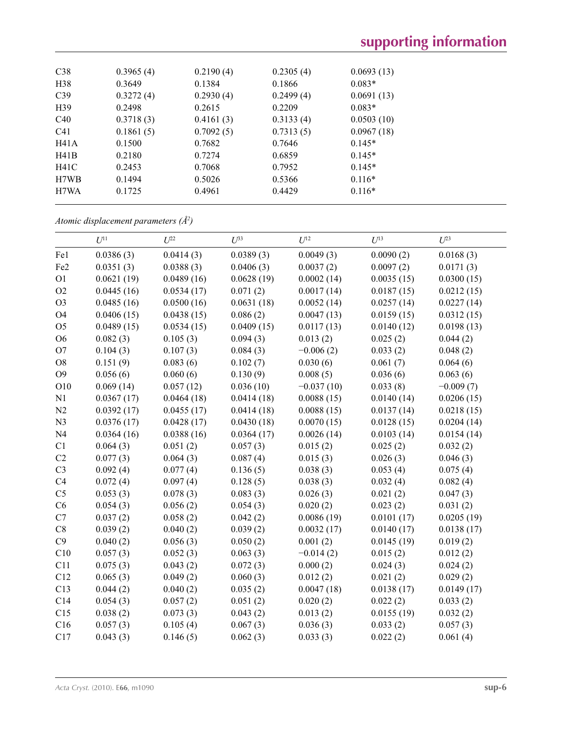| C38             | 0.3965(4) | 0.2190(4) | 0.2305(4) | 0.0693(13) |
|-----------------|-----------|-----------|-----------|------------|
| H <sub>38</sub> | 0.3649    | 0.1384    | 0.1866    | $0.083*$   |
| C39             | 0.3272(4) | 0.2930(4) | 0.2499(4) | 0.0691(13) |
| H <sub>39</sub> | 0.2498    | 0.2615    | 0.2209    | $0.083*$   |
| C40             | 0.3718(3) | 0.4161(3) | 0.3133(4) | 0.0503(10) |
| C <sub>41</sub> | 0.1861(5) | 0.7092(5) | 0.7313(5) | 0.0967(18) |
| H41A            | 0.1500    | 0.7682    | 0.7646    | $0.145*$   |
| H41B            | 0.2180    | 0.7274    | 0.6859    | $0.145*$   |
| H41C            | 0.2453    | 0.7068    | 0.7952    | $0.145*$   |
| H7WB            | 0.1494    | 0.5026    | 0.5366    | $0.116*$   |
| H7WA            | 0.1725    | 0.4961    | 0.4429    | $0.116*$   |
|                 |           |           |           |            |

*Atomic displacement parameters (Å2 )*

|                 | $U^{11}$   | $U^{22}$   | $U^{33}$   | $U^{12}$     | $U^{13}$   | $U^{23}$    |
|-----------------|------------|------------|------------|--------------|------------|-------------|
| Fe1             | 0.0386(3)  | 0.0414(3)  | 0.0389(3)  | 0.0049(3)    | 0.0090(2)  | 0.0168(3)   |
| Fe <sub>2</sub> | 0.0351(3)  | 0.0388(3)  | 0.0406(3)  | 0.0037(2)    | 0.0097(2)  | 0.0171(3)   |
| O <sub>1</sub>  | 0.0621(19) | 0.0489(16) | 0.0628(19) | 0.0002(14)   | 0.0035(15) | 0.0300(15)  |
| O2              | 0.0445(16) | 0.0534(17) | 0.071(2)   | 0.0017(14)   | 0.0187(15) | 0.0212(15)  |
| O <sub>3</sub>  | 0.0485(16) | 0.0500(16) | 0.0631(18) | 0.0052(14)   | 0.0257(14) | 0.0227(14)  |
| O <sub>4</sub>  | 0.0406(15) | 0.0438(15) | 0.086(2)   | 0.0047(13)   | 0.0159(15) | 0.0312(15)  |
| O <sub>5</sub>  | 0.0489(15) | 0.0534(15) | 0.0409(15) | 0.0117(13)   | 0.0140(12) | 0.0198(13)  |
| O <sub>6</sub>  | 0.082(3)   | 0.105(3)   | 0.094(3)   | 0.013(2)     | 0.025(2)   | 0.044(2)    |
| O <sub>7</sub>  | 0.104(3)   | 0.107(3)   | 0.084(3)   | $-0.006(2)$  | 0.033(2)   | 0.048(2)    |
| O <sub>8</sub>  | 0.151(9)   | 0.083(6)   | 0.102(7)   | 0.030(6)     | 0.061(7)   | 0.064(6)    |
| O <sub>9</sub>  | 0.056(6)   | 0.060(6)   | 0.130(9)   | 0.008(5)     | 0.036(6)   | 0.063(6)    |
| O10             | 0.069(14)  | 0.057(12)  | 0.036(10)  | $-0.037(10)$ | 0.033(8)   | $-0.009(7)$ |
| N1              | 0.0367(17) | 0.0464(18) | 0.0414(18) | 0.0088(15)   | 0.0140(14) | 0.0206(15)  |
| N2              | 0.0392(17) | 0.0455(17) | 0.0414(18) | 0.0088(15)   | 0.0137(14) | 0.0218(15)  |
| N <sub>3</sub>  | 0.0376(17) | 0.0428(17) | 0.0430(18) | 0.0070(15)   | 0.0128(15) | 0.0204(14)  |
| N <sub>4</sub>  | 0.0364(16) | 0.0388(16) | 0.0364(17) | 0.0026(14)   | 0.0103(14) | 0.0154(14)  |
| C1              | 0.064(3)   | 0.051(2)   | 0.057(3)   | 0.015(2)     | 0.025(2)   | 0.032(2)    |
| C2              | 0.077(3)   | 0.064(3)   | 0.087(4)   | 0.015(3)     | 0.026(3)   | 0.046(3)    |
| C <sub>3</sub>  | 0.092(4)   | 0.077(4)   | 0.136(5)   | 0.038(3)     | 0.053(4)   | 0.075(4)    |
| C4              | 0.072(4)   | 0.097(4)   | 0.128(5)   | 0.038(3)     | 0.032(4)   | 0.082(4)    |
| C <sub>5</sub>  | 0.053(3)   | 0.078(3)   | 0.083(3)   | 0.026(3)     | 0.021(2)   | 0.047(3)    |
| C6              | 0.054(3)   | 0.056(2)   | 0.054(3)   | 0.020(2)     | 0.023(2)   | 0.031(2)    |
| C7              | 0.037(2)   | 0.058(2)   | 0.042(2)   | 0.0086(19)   | 0.0101(17) | 0.0205(19)  |
| $\rm{C}8$       | 0.039(2)   | 0.040(2)   | 0.039(2)   | 0.0032(17)   | 0.0140(17) | 0.0138(17)  |
| C9              | 0.040(2)   | 0.056(3)   | 0.050(2)   | 0.001(2)     | 0.0145(19) | 0.019(2)    |
| C10             | 0.057(3)   | 0.052(3)   | 0.063(3)   | $-0.014(2)$  | 0.015(2)   | 0.012(2)    |
| C11             | 0.075(3)   | 0.043(2)   | 0.072(3)   | 0.000(2)     | 0.024(3)   | 0.024(2)    |
| C12             | 0.065(3)   | 0.049(2)   | 0.060(3)   | 0.012(2)     | 0.021(2)   | 0.029(2)    |
| C13             | 0.044(2)   | 0.040(2)   | 0.035(2)   | 0.0047(18)   | 0.0138(17) | 0.0149(17)  |
| C14             | 0.054(3)   | 0.057(2)   | 0.051(2)   | 0.020(2)     | 0.022(2)   | 0.033(2)    |
| C15             | 0.038(2)   | 0.073(3)   | 0.043(2)   | 0.013(2)     | 0.0155(19) | 0.032(2)    |
| C16             | 0.057(3)   | 0.105(4)   | 0.067(3)   | 0.036(3)     | 0.033(2)   | 0.057(3)    |
| C17             | 0.043(3)   | 0.146(5)   | 0.062(3)   | 0.033(3)     | 0.022(2)   | 0.061(4)    |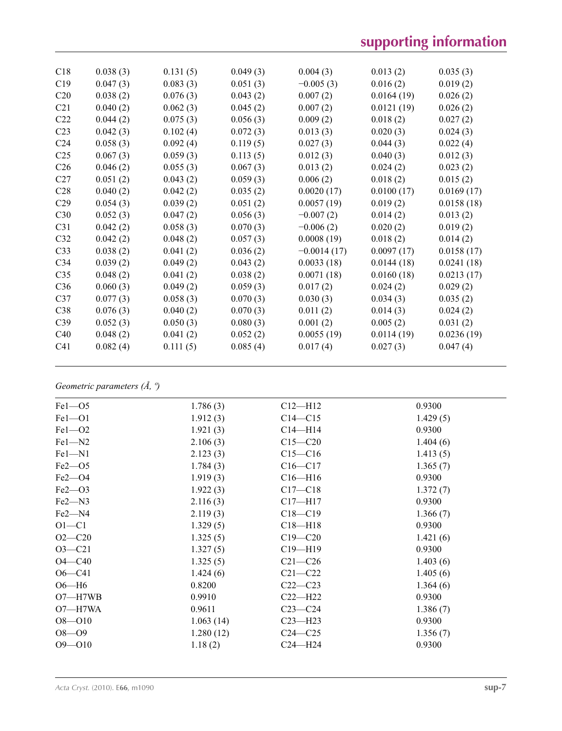# **supporting information**

| C18             | 0.038(3) | 0.131(5) | 0.049(3) | 0.004(3)      | 0.013(2)   | 0.035(3)   |
|-----------------|----------|----------|----------|---------------|------------|------------|
| C19             | 0.047(3) | 0.083(3) | 0.051(3) | $-0.005(3)$   | 0.016(2)   | 0.019(2)   |
| C20             | 0.038(2) | 0.076(3) | 0.043(2) | 0.007(2)      | 0.0164(19) | 0.026(2)   |
| C21             | 0.040(2) | 0.062(3) | 0.045(2) | 0.007(2)      | 0.0121(19) | 0.026(2)   |
| C22             | 0.044(2) | 0.075(3) | 0.056(3) | 0.009(2)      | 0.018(2)   | 0.027(2)   |
| C <sub>23</sub> | 0.042(3) | 0.102(4) | 0.072(3) | 0.013(3)      | 0.020(3)   | 0.024(3)   |
| C <sub>24</sub> | 0.058(3) | 0.092(4) | 0.119(5) | 0.027(3)      | 0.044(3)   | 0.022(4)   |
| C <sub>25</sub> | 0.067(3) | 0.059(3) | 0.113(5) | 0.012(3)      | 0.040(3)   | 0.012(3)   |
| C <sub>26</sub> | 0.046(2) | 0.055(3) | 0.067(3) | 0.013(2)      | 0.024(2)   | 0.023(2)   |
| C27             | 0.051(2) | 0.043(2) | 0.059(3) | 0.006(2)      | 0.018(2)   | 0.015(2)   |
| C28             | 0.040(2) | 0.042(2) | 0.035(2) | 0.0020(17)    | 0.0100(17) | 0.0169(17) |
| C29             | 0.054(3) | 0.039(2) | 0.051(2) | 0.0057(19)    | 0.019(2)   | 0.0158(18) |
| C30             | 0.052(3) | 0.047(2) | 0.056(3) | $-0.007(2)$   | 0.014(2)   | 0.013(2)   |
| C31             | 0.042(2) | 0.058(3) | 0.070(3) | $-0.006(2)$   | 0.020(2)   | 0.019(2)   |
| C32             | 0.042(2) | 0.048(2) | 0.057(3) | 0.0008(19)    | 0.018(2)   | 0.014(2)   |
| C <sub>33</sub> | 0.038(2) | 0.041(2) | 0.036(2) | $-0.0014(17)$ | 0.0097(17) | 0.0158(17) |
| C <sub>34</sub> | 0.039(2) | 0.049(2) | 0.043(2) | 0.0033(18)    | 0.0144(18) | 0.0241(18) |
| C <sub>35</sub> | 0.048(2) | 0.041(2) | 0.038(2) | 0.0071(18)    | 0.0160(18) | 0.0213(17) |
| C <sub>36</sub> | 0.060(3) | 0.049(2) | 0.059(3) | 0.017(2)      | 0.024(2)   | 0.029(2)   |
| C <sub>37</sub> | 0.077(3) | 0.058(3) | 0.070(3) | 0.030(3)      | 0.034(3)   | 0.035(2)   |
| C38             | 0.076(3) | 0.040(2) | 0.070(3) | 0.011(2)      | 0.014(3)   | 0.024(2)   |
| C39             | 0.052(3) | 0.050(3) | 0.080(3) | 0.001(2)      | 0.005(2)   | 0.031(2)   |
| C40             | 0.048(2) | 0.041(2) | 0.052(2) | 0.0055(19)    | 0.0114(19) | 0.0236(19) |
| C <sub>41</sub> | 0.082(4) | 0.111(5) | 0.085(4) | 0.017(4)      | 0.027(3)   | 0.047(4)   |
|                 |          |          |          |               |            |            |

# *Geometric parameters (Å, º)*

| $Fe1 - O5$  | 1.786(3)  | $C12 - H12$ | 0.9300   |
|-------------|-----------|-------------|----------|
| $Fe1 - O1$  | 1.912(3)  | $C14 - C15$ | 1.429(5) |
| $Fe1 - O2$  | 1.921(3)  | $C14 - H14$ | 0.9300   |
| $Fe1 - N2$  | 2.106(3)  | $C15 - C20$ | 1.404(6) |
| $Fe1 - N1$  | 2.123(3)  | $C15 - C16$ | 1.413(5) |
| $Fe2 - O5$  | 1.784(3)  | $C16 - C17$ | 1.365(7) |
| $Fe2 - O4$  | 1.919(3)  | $Cl6-H16$   | 0.9300   |
| $Fe2 - O3$  | 1.922(3)  | $C17 - C18$ | 1.372(7) |
| $Fe2 - N3$  | 2.116(3)  | $C17 - H17$ | 0.9300   |
| $Fe2 - N4$  | 2.119(3)  | $C18 - C19$ | 1.366(7) |
| $O1 - C1$   | 1.329(5)  | $C18 - H18$ | 0.9300   |
| $O2 - C20$  | 1.325(5)  | $C19 - C20$ | 1.421(6) |
| $O3 - C21$  | 1.327(5)  | $C19 - H19$ | 0.9300   |
| $O4 - C40$  | 1.325(5)  | $C21 - C26$ | 1.403(6) |
| $O6 - C41$  | 1.424(6)  | $C21 - C22$ | 1.405(6) |
| $O6 - H6$   | 0.8200    | $C22-C23$   | 1.364(6) |
| $O7 - H7WB$ | 0.9910    | $C22-H22$   | 0.9300   |
| O7-H7WA     | 0.9611    | $C23-C24$   | 1.386(7) |
| $O8 - O10$  | 1.063(14) | $C23 - H23$ | 0.9300   |
| $O8 - O9$   | 1.280(12) | $C24 - C25$ | 1.356(7) |
| $O9 - O10$  | 1.18(2)   | $C24 - H24$ | 0.9300   |
|             |           |             |          |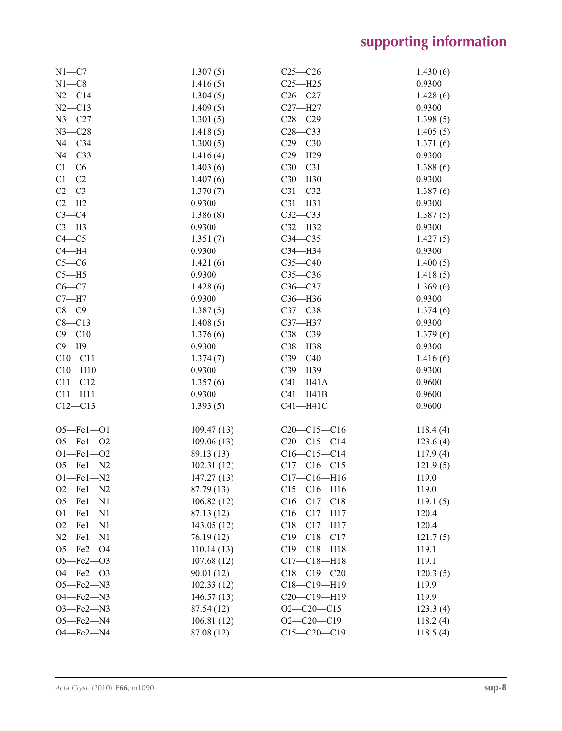| $N1 - C7$        | 1.307(5)   | $C25 - C26$       | 1.430(6) |
|------------------|------------|-------------------|----------|
| $N1 - C8$        | 1.416(5)   | $C25 - H25$       | 0.9300   |
| $N2-C14$         | 1.304(5)   | $C26 - C27$       | 1.428(6) |
| $N2 - C13$       | 1.409(5)   | $C27 - H27$       | 0.9300   |
| $N3 - C27$       | 1.301(5)   | $C28 - C29$       | 1.398(5) |
| $N3 - C28$       | 1.418(5)   | $C28 - C33$       | 1.405(5) |
| $N4 - C34$       | 1.300(5)   | $C29 - C30$       | 1.371(6) |
| $N4 - C33$       | 1.416(4)   | $C29 - H29$       | 0.9300   |
| $C1-C6$          | 1.403(6)   | $C30 - C31$       | 1.388(6) |
| $C1-C2$          | 1.407(6)   | $C30 - H30$       | 0.9300   |
| $C2-C3$          | 1.370(7)   | $C31 - C32$       | 1.387(6) |
| $C2-H2$          | 0.9300     | $C31 - H31$       | 0.9300   |
| $C3-C4$          | 1.386(8)   | $C32-C33$         | 1.387(5) |
| $C3-H3$          | 0.9300     | $C32-H32$         | 0.9300   |
| $C4 - C5$        | 1.351(7)   | $C34 - C35$       | 1.427(5) |
| $C4 - H4$        | 0.9300     | C34-H34           | 0.9300   |
| $C5-C6$          | 1.421(6)   | $C35 - C40$       | 1.400(5) |
| $C5 - H5$        |            | $C35-C36$         |          |
|                  | 0.9300     |                   | 1.418(5) |
| $C6-C7$          | 1.428(6)   | $C36-C37$         | 1.369(6) |
| $C7 - H7$        | 0.9300     | $C36 - H36$       | 0.9300   |
| $C8-C9$          | 1.387(5)   | $C37 - C38$       | 1.374(6) |
| $C8 - C13$       | 1.408(5)   | C37-H37           | 0.9300   |
| $C9 - C10$       | 1.376(6)   | $C38 - C39$       | 1.379(6) |
| $C9 - H9$        | 0.9300     | C38-H38           | 0.9300   |
| $C10 - C11$      | 1.374(7)   | $C39 - C40$       | 1.416(6) |
| $C10 - H10$      | 0.9300     | C39-H39           | 0.9300   |
| $C11 - C12$      | 1.357(6)   | $C41 - H41A$      | 0.9600   |
| $C11 - H11$      | 0.9300     | $C41 - H41B$      | 0.9600   |
| $C12-C13$        | 1.393(5)   | $C41 - H41C$      | 0.9600   |
|                  |            |                   |          |
| $O5 = Fe1 - O1$  | 109.47(13) | $C20-C15-C16$     | 118.4(4) |
| $O5 - Fe1 - O2$  | 109.06(13) | $C20-C15-C14$     | 123.6(4) |
| $O1 - Fe1 - O2$  | 89.13 (13) | $C16-C15-C14$     | 117.9(4) |
| $O5$ -Fel-N2     | 102.31(12) | $C17 - C16 - C15$ | 121.9(5) |
| $O1 - Fe1 - N2$  | 147.27(13) | $C17 - C16 - H16$ | 119.0    |
| $O2$ —Fel—N2     | 87.79 (13) | $C15-C16-H16$     | 119.0    |
| $O5$ -Fel-N1     | 106.82(12) | $C16 - C17 - C18$ | 119.1(5) |
| $O1 - Fe1 - N1$  | 87.13 (12) | C16-C17-H17       | 120.4    |
| $O2$ -Fel-N1     | 143.05(12) | $C18-C17-H17$     | 120.4    |
| $N2$ -Fel-N1     | 76.19(12)  | $C19 - C18 - C17$ | 121.7(5) |
| $O5 - Fe2 - O4$  | 110.14(13) | $C19 - C18 - H18$ | 119.1    |
| $O5 - Fe2 - O3$  | 107.68(12) | $C17 - C18 - H18$ | 119.1    |
| $O4 - Fe2 - O3$  | 90.01(12)  | $C18 - C19 - C20$ | 120.3(5) |
| $O5$ —Fe $2$ —N3 | 102.33(12) | $C18 - C19 - H19$ | 119.9    |
| $O4$ –Fe $2$ –N3 | 146.57(13) | $C20-C19-H19$     | 119.9    |
| O3-Fe2-N3        | 87.54 (12) | $O2-C20-C15$      | 123.3(4) |
| $O5$ —Fe $2$ —N4 | 106.81(12) | $O2-C20-C19$      | 118.2(4) |
| $O4$ –Fe $2$ –N4 | 87.08 (12) | $C15-C20-C19$     | 118.5(4) |
|                  |            |                   |          |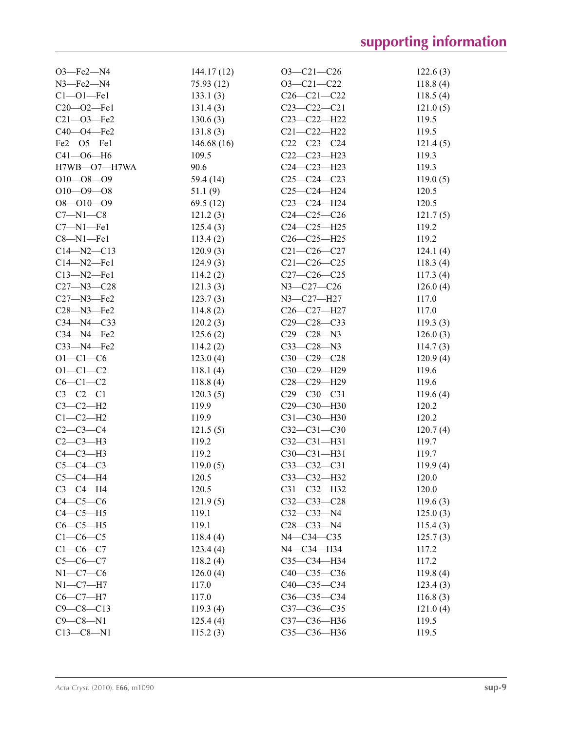| $O3$ –Fe $2$ –N4       | 144.17(12) | $O3 - C21 - C26$  | 122.6(3) |
|------------------------|------------|-------------------|----------|
| $N3$ –Fe $2$ –N4       | 75.93(12)  | $O3 - C21 - C22$  | 118.8(4) |
| $C1 - 01 - Fe1$        | 133.1(3)   | $C26 - C21 - C22$ | 118.5(4) |
| C20-02-Fe1             | 131.4(3)   | $C23-C22-C21$     | 121.0(5) |
| $C21 - O3 - Fe2$       | 130.6(3)   | C23-C22-H22       | 119.5    |
| C40-O4-Fe2             | 131.8(3)   | $C21 - C22 - H22$ | 119.5    |
| $Fe2$ –– $O5$ –– $Fe1$ | 146.68(16) | $C22-C23-C24$     | 121.4(5) |
| $C41 - 06 - H6$        | 109.5      | $C22-C23-H23$     | 119.3    |
| H7WB-O7-H7WA           | 90.6       | $C24 - C23 - H23$ | 119.3    |
| $O10 - O8 - O9$        | 59.4 (14)  | $C25-C24-C23$     | 119.0(5) |
| $O10 - O9 - O8$        | 51.1(9)    | $C25-C24-H24$     | 120.5    |
| $O8 - O10 - O9$        | 69.5(12)   | $C23-C24-H24$     | 120.5    |
| $C7 - N1 - C8$         | 121.2(3)   | $C24 - C25 - C26$ | 121.7(5) |
| $C7 - N1 - Fe1$        | 125.4(3)   | $C24 - C25 - H25$ | 119.2    |
| $C8 - N1 - Fe1$        | 113.4(2)   | $C26 - C25 - H25$ | 119.2    |
| $C14 - N2 - C13$       | 120.9(3)   | $C21 - C26 - C27$ | 124.1(4) |
| $C14 - N2 - Fe1$       | 124.9(3)   | $C21 - C26 - C25$ | 118.3(4) |
| $C13 - N2 - Fe1$       | 114.2(2)   | $C27 - C26 - C25$ | 117.3(4) |
| $C27 - N3 - C28$       | 121.3(3)   | N3-C27-C26        | 126.0(4) |
| $C27 - N3 - Fe2$       | 123.7(3)   | N3-C27-H27        | 117.0    |
| C28-N3-Fe2             | 114.8(2)   | $C26 - C27 - H27$ | 117.0    |
| $C34 - N4 - C33$       |            | $C29 - C28 - C33$ |          |
| $C34 - N4 - Fe2$       | 120.2(3)   | $C29 - C28 - N3$  | 119.3(3) |
|                        | 125.6(2)   |                   | 126.0(3) |
| $C33 - N4 - Fe2$       | 114.2(2)   | $C33-C28-N3$      | 114.7(3) |
| $O1 - C1 - C6$         | 123.0(4)   | $C30-C29-C28$     | 120.9(4) |
| $O1 - C1 - C2$         | 118.1(4)   | C30-C29-H29       | 119.6    |
| $C6-C1-C2$             | 118.8(4)   | C28-C29-H29       | 119.6    |
| $C3-C2-C1$             | 120.3(5)   | $C29 - C30 - C31$ | 119.6(4) |
| $C3-C2-H2$             | 119.9      | C29-C30-H30       | 120.2    |
| $C1-C2-H2$             | 119.9      | $C31 - C30 - H30$ | 120.2    |
| $C2-C3-C4$             | 121.5(5)   | $C32 - C31 - C30$ | 120.7(4) |
| $C2-C3-H3$             | 119.2      | $C32 - C31 - H31$ | 119.7    |
| $C4-C3-H3$             | 119.2      | $C30-C31-H31$     | 119.7    |
| $C5-C4-C3$             | 119.0(5)   | $C33-C32-C31$     | 119.9(4) |
| $C5-C4-H4$             | 120.5      | C33-C32-H32       | 120.0    |
| $C3-C4-H4$             | 120.5      | $C31 - C32 - H32$ | 120.0    |
| $C4-C5-C6$             | 121.9(5)   | $C32 - C33 - C28$ | 119.6(3) |
| $C4-C5-H5$             | 119.1      | $C32 - C33 - N4$  | 125.0(3) |
| $C6-C5-H5$             | 119.1      | $C28 - C33 - N4$  | 115.4(3) |
| $C1-C6-C5$             | 118.4(4)   | $N4 - C34 - C35$  | 125.7(3) |
| $C1-C6-C7$             | 123.4(4)   | N4-C34-H34        | 117.2    |
| $C5 - C6 - C7$         | 118.2(4)   | C35-C34-H34       | 117.2    |
| $N1-C7-C6$             | 126.0(4)   | $C40-C35-C36$     | 119.8(4) |
| $N1-C7-H7$             | 117.0      | $C40-C35-C34$     | 123.4(3) |
| $C6 - C7 - H7$         | 117.0      | $C36-C35-C34$     | 116.8(3) |
| $C9 - C8 - C13$        | 119.3(4)   | $C37 - C36 - C35$ | 121.0(4) |
| $C9 - C8 - N1$         | 125.4(4)   | C37-C36-H36       | 119.5    |
| $C13 - C8 - N1$        | 115.2(3)   | C35-C36-H36       | 119.5    |